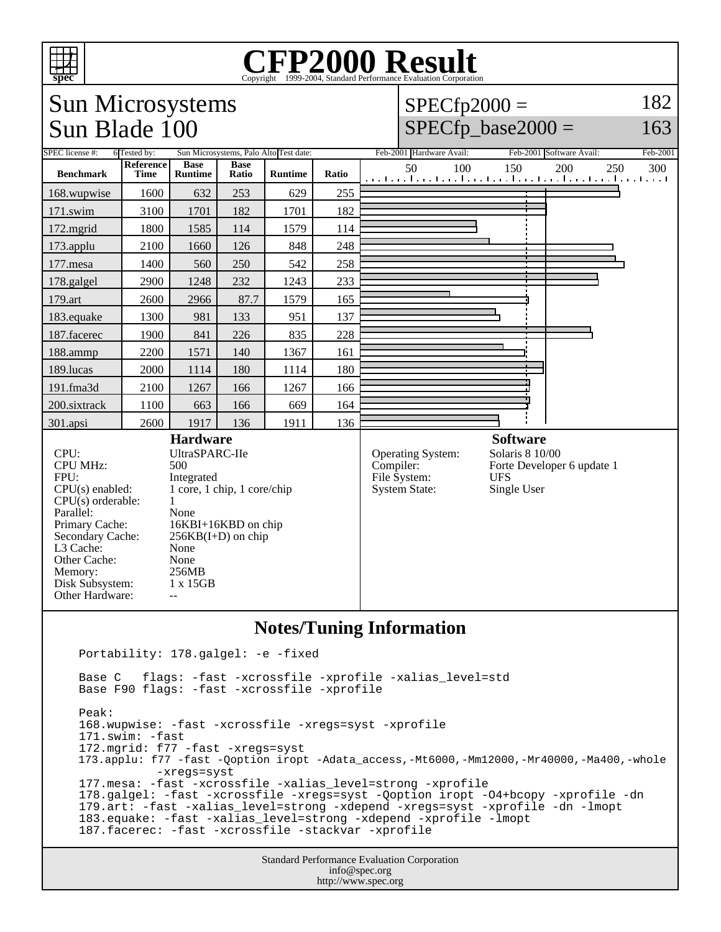

## **Notes/Tuning Information**

Portability: 178.galgel: -e -fixed

 Base C flags: -fast -xcrossfile -xprofile -xalias\_level=std Base F90 flags: -fast -xcrossfile -xprofile Peak: 168.wupwise: -fast -xcrossfile -xregs=syst -xprofile 171.swim: -fast 172.mgrid: f77 -fast -xregs=syst 173.applu: f77 -fast -Qoption iropt -Adata\_access,-Mt6000,-Mm12000,-Mr40000,-Ma400,-whole -xregs=syst 177.mesa: -fast -xcrossfile -xalias\_level=strong -xprofile 178.galgel: -fast -xcrossfile -xregs=syst -Qoption iropt -O4+bcopy -xprofile -dn 179.art: -fast -xalias\_level=strong -xdepend -xregs=syst -xprofile -dn -lmopt 183.equake: -fast -xalias\_level=strong -xdepend -xprofile -lmopt 187.facerec: -fast -xcrossfile -stackvar -xprofile

> Standard Performance Evaluation Corporation info@spec.org http://www.spec.org